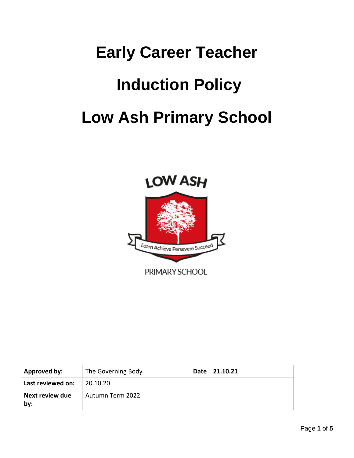# **Early Career Teacher Induction Policy Low Ash Primary School**



| <b>Approved by:</b>           | The Governing Body | Date 21.10.21 |
|-------------------------------|--------------------|---------------|
| Last reviewed on:             | 20.10.20           |               |
| <b>Next review due</b><br>by: | Autumn Term 2022   |               |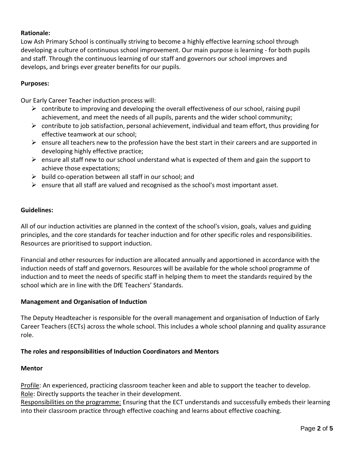# **Rationale:**

Low Ash Primary School is continually striving to become a highly effective learning school through developing a culture of continuous school improvement. Our main purpose is learning - for both pupils and staff. Through the continuous learning of our staff and governors our school improves and develops, and brings ever greater benefits for our pupils.

# **Purposes:**

Our Early Career Teacher induction process will:

- $\triangleright$  contribute to improving and developing the overall effectiveness of our school, raising pupil achievement, and meet the needs of all pupils, parents and the wider school community;
- $\triangleright$  contribute to job satisfaction, personal achievement, individual and team effort, thus providing for effective teamwork at our school;
- $\triangleright$  ensure all teachers new to the profession have the best start in their careers and are supported in developing highly effective practice;
- $\triangleright$  ensure all staff new to our school understand what is expected of them and gain the support to achieve those expectations;
- $\triangleright$  build co-operation between all staff in our school; and
- $\triangleright$  ensure that all staff are valued and recognised as the school's most important asset.

### **Guidelines:**

All of our induction activities are planned in the context of the school's vision, goals, values and guiding principles, and the core standards for teacher induction and for other specific roles and responsibilities. Resources are prioritised to support induction.

Financial and other resources for induction are allocated annually and apportioned in accordance with the induction needs of staff and governors. Resources will be available for the whole school programme of induction and to meet the needs of specific staff in helping them to meet the standards required by the school which are in line with the DfE Teachers' Standards.

### **Management and Organisation of Induction**

The Deputy Headteacher is responsible for the overall management and organisation of Induction of Early Career Teachers (ECTs) across the whole school. This includes a whole school planning and quality assurance role.

### **The roles and responsibilities of Induction Coordinators and Mentors**

# **Mentor**

Profile: An experienced, practicing classroom teacher keen and able to support the teacher to develop. Role: Directly supports the teacher in their development.

Responsibilities on the programme: Ensuring that the ECT understands and successfully embeds their learning into their classroom practice through effective coaching and learns about effective coaching.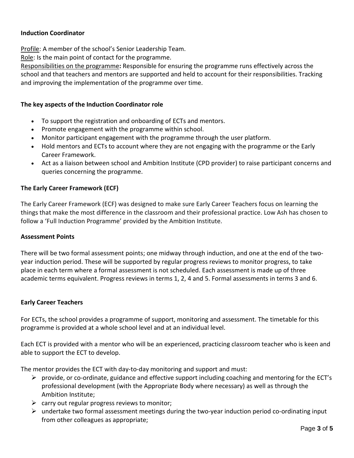# **Induction Coordinator**

Profile: A member of the school's Senior Leadership Team.

Role: Is the main point of contact for the programme.

Responsibilities on the programme**:** Responsible for ensuring the programme runs effectively across the school and that teachers and mentors are supported and held to account for their responsibilities. Tracking and improving the implementation of the programme over time.

# **The key aspects of the Induction Coordinator role**

- To support the registration and onboarding of ECTs and mentors.
- Promote engagement with the programme within school.
- Monitor participant engagement with the programme through the user platform.
- Hold mentors and ECTs to account where they are not engaging with the programme or the Early Career Framework.
- Act as a liaison between school and Ambition Institute (CPD provider) to raise participant concerns and queries concerning the programme.

# **The Early Career Framework (ECF)**

The Early Career Framework (ECF) was designed to make sure Early Career Teachers focus on learning the things that make the most difference in the classroom and their professional practice. Low Ash has chosen to follow a 'Full Induction Programme' provided by the Ambition Institute.

### **Assessment Points**

There will be two formal assessment points; one midway through induction, and one at the end of the twoyear induction period. These will be supported by regular progress reviews to monitor progress, to take place in each term where a formal assessment is not scheduled. Each assessment is made up of three academic terms equivalent. Progress reviews in terms 1, 2, 4 and 5. Formal assessments in terms 3 and 6.

### **Early Career Teachers**

For ECTs, the school provides a programme of support, monitoring and assessment. The timetable for this programme is provided at a whole school level and at an individual level.

Each ECT is provided with a mentor who will be an experienced, practicing classroom teacher who is keen and able to support the ECT to develop.

The mentor provides the ECT with day-to-day monitoring and support and must:

- $\triangleright$  provide, or co-ordinate, guidance and effective support including coaching and mentoring for the ECT's professional development (with the Appropriate Body where necessary) as well as through the Ambition Institute;
- $\triangleright$  carry out regular progress reviews to monitor;
- $\triangleright$  undertake two formal assessment meetings during the two-year induction period co-ordinating input from other colleagues as appropriate;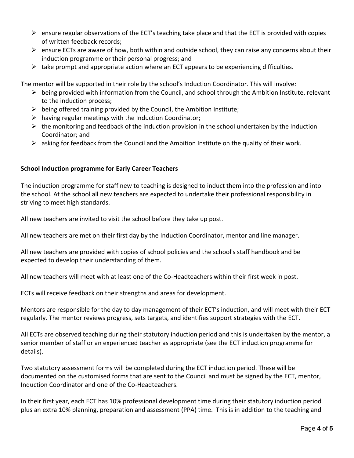- $\triangleright$  ensure regular observations of the ECT's teaching take place and that the ECT is provided with copies of written feedback records;
- $\triangleright$  ensure ECTs are aware of how, both within and outside school, they can raise any concerns about their induction programme or their personal progress; and
- $\triangleright$  take prompt and appropriate action where an ECT appears to be experiencing difficulties.

The mentor will be supported in their role by the school's Induction Coordinator. This will involve:

- $\triangleright$  being provided with information from the Council, and school through the Ambition Institute, relevant to the induction process;
- $\triangleright$  being offered training provided by the Council, the Ambition Institute;
- $\triangleright$  having regular meetings with the Induction Coordinator;
- $\triangleright$  the monitoring and feedback of the induction provision in the school undertaken by the Induction Coordinator; and
- $\triangleright$  asking for feedback from the Council and the Ambition Institute on the quality of their work.

# **School Induction programme for Early Career Teachers**

The induction programme for staff new to teaching is designed to induct them into the profession and into the school. At the school all new teachers are expected to undertake their professional responsibility in striving to meet high standards.

All new teachers are invited to visit the school before they take up post.

All new teachers are met on their first day by the Induction Coordinator, mentor and line manager.

All new teachers are provided with copies of school policies and the school's staff handbook and be expected to develop their understanding of them.

All new teachers will meet with at least one of the Co-Headteachers within their first week in post.

ECTs will receive feedback on their strengths and areas for development.

Mentors are responsible for the day to day management of their ECT's induction, and will meet with their ECT regularly. The mentor reviews progress, sets targets, and identifies support strategies with the ECT.

All ECTs are observed teaching during their statutory induction period and this is undertaken by the mentor, a senior member of staff or an experienced teacher as appropriate (see the ECT induction programme for details).

Two statutory assessment forms will be completed during the ECT induction period. These will be documented on the customised forms that are sent to the Council and must be signed by the ECT, mentor, Induction Coordinator and one of the Co-Headteachers.

In their first year, each ECT has 10% professional development time during their statutory induction period plus an extra 10% planning, preparation and assessment (PPA) time. This is in addition to the teaching and